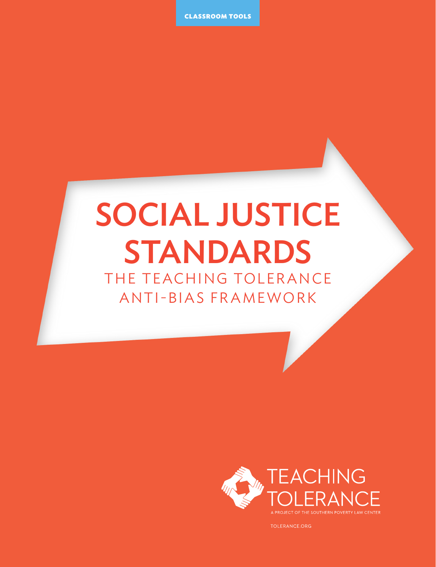CLASSROOM TOOLS

# SOCIAL JUSTICE STANDARDS

THE TEACHING TOLERANCE ANTI-BIAS FRAMEWORK



TOLERANCE.ORG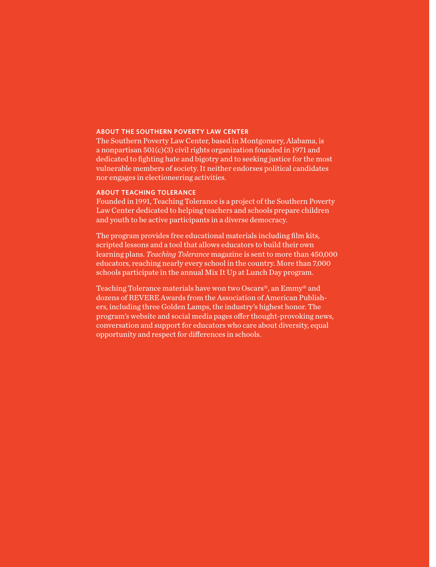#### **ABOUT THE SOUTHERN POVERTY LAW CENTER**

The Southern Poverty Law Center, based in Montgomery, Alabama, is a nonpartisan 501(c)(3) civil rights organization founded in 1971 and dedicated to fighting hate and bigotry and to seeking justice for the most vulnerable members of society. It neither endorses political candidates nor engages in electioneering activities.

### **ABOUT TEACHING TOLERANCE**

Founded in 1991, Teaching Tolerance is a project of the Southern Poverty Law Center dedicated to helping teachers and schools prepare children and youth to be active participants in a diverse democracy.

The program provides free educational materials including film kits, scripted lessons and a tool that allows educators to build their own learning plans. *Teaching Tolerance* magazine is sent to more than 450,000 educators, reaching nearly every school in the country. More than 7,000 schools participate in the annual Mix It Up at Lunch Day program.

Teaching Tolerance materials have won two Oscars®, an Emmy® and dozens of REVERE Awards from the Association of American Publishers, including three Golden Lamps, the industry's highest honor. The program's website and social media pages offer thought-provoking news, conversation and support for educators who care about diversity, equal opportunity and respect for differences in schools.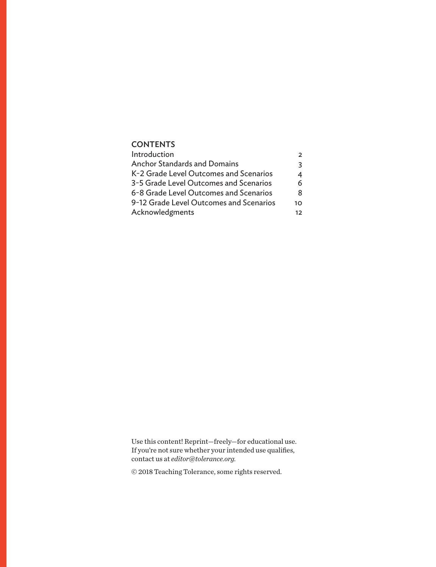### **CONTENTS**

| Introduction                            | $\overline{2}$  |
|-----------------------------------------|-----------------|
| <b>Anchor Standards and Domains</b>     | 3               |
| K-2 Grade Level Outcomes and Scenarios  | 4               |
| 3-5 Grade Level Outcomes and Scenarios  | 6               |
| 6-8 Grade Level Outcomes and Scenarios  | 8               |
| 9-12 Grade Level Outcomes and Scenarios | 10              |
| Acknowledgments                         | $12 \ \mathrm{$ |

Use this content! Reprint—freely—for educational use. If you're not sure whether your intended use qualifies, contact us at *editor@tolerance.org.* 

© 2018 Teaching Tolerance, some rights reserved.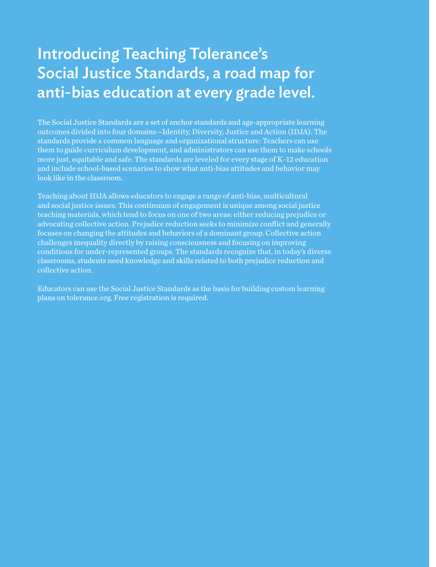## Introducing Teaching Tolerance's Social Justice Standards, a road map for anti-bias education at every grade level.

The Social Justice Standards are a set of anchor standards and age-appropriate learning outcomes divided into four domains—Identity, Diversity, Justice and Action (IDJA). The standards provide a common language and organizational structure: Teachers can use them to guide curriculum development, and administrators can use them to make schools more just, equitable and safe. The standards are leveled for every stage of K–12 education and include school-based scenarios to show what anti-bias attitudes and behavior may look like in the classroom.

Teaching about IDJA allows educators to engage a range of anti-bias, multicultural and social justice issues. This continuum of engagement is unique among social justice teaching materials, which tend to focus on one of two areas: either reducing prejudice or advocating collective action. Prejudice reduction seeks to minimize conflict and generally focuses on changing the attitudes and behaviors of a dominant group. Collective action challenges inequality directly by raising consciousness and focusing on improving conditions for under-represented groups. The standards recognize that, in today's diverse classrooms, students need knowledge and skills related to both prejudice reduction and collective action.

Educators can use the Social Justice Standards as the basis for building custom learning plans on tolerance.org. Free registration is required.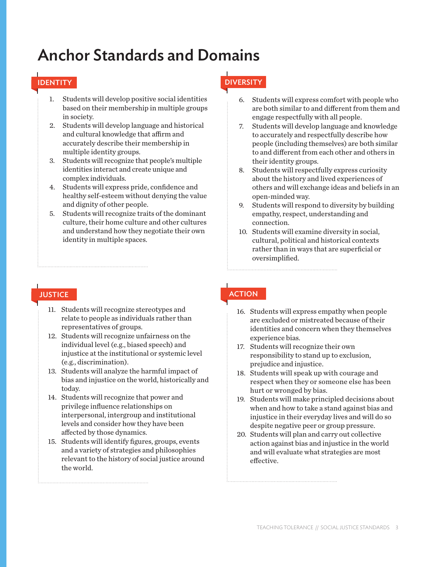## Anchor Standards and Domains

- 1. Students will develop positive social identities based on their membership in multiple groups in society.
- 2. Students will develop language and historical and cultural knowledge that affirm and accurately describe their membership in multiple identity groups.
- 3. Students will recognize that people's multiple identities interact and create unique and complex individuals.
- 4. Students will express pride, confidence and healthy self-esteem without denying the value and dignity of other people.
- 5. Students will recognize traits of the dominant culture, their home culture and other cultures and understand how they negotiate their own identity in multiple spaces.

- 11. Students will recognize stereotypes and relate to people as individuals rather than representatives of groups.
- 12. Students will recognize unfairness on the individual level (e.g., biased speech) and injustice at the institutional or systemic level (e.g., discrimination).
- 13. Students will analyze the harmful impact of bias and injustice on the world, historically and today.
- 14. Students will recognize that power and privilege influence relationships on interpersonal, intergroup and institutional levels and consider how they have been affected by those dynamics.
- 15. Students will identify figures, groups, events and a variety of strategies and philosophies relevant to the history of social justice around the world.

### IDENTITY DIVERSITY

- 6. Students will express comfort with people who are both similar to and different from them and engage respectfully with all people.
- 7. Students will develop language and knowledge to accurately and respectfully describe how people (including themselves) are both similar to and different from each other and others in their identity groups.
- 8. Students will respectfully express curiosity about the history and lived experiences of others and will exchange ideas and beliefs in an open-minded way.
- 9. Students will respond to diversity by building empathy, respect, understanding and connection.
- 10. Students will examine diversity in social, cultural, political and historical contexts rather than in ways that are superficial or oversimplified.

### JUSTICE **ACTION**

- 16. Students will express empathy when people are excluded or mistreated because of their identities and concern when they themselves experience bias.
- 17. Students will recognize their own responsibility to stand up to exclusion, prejudice and injustice.
- 18. Students will speak up with courage and respect when they or someone else has been hurt or wronged by bias.
- 19. Students will make principled decisions about when and how to take a stand against bias and injustice in their everyday lives and will do so despite negative peer or group pressure.
- 20. Students will plan and carry out collective action against bias and injustice in the world and will evaluate what strategies are most effective.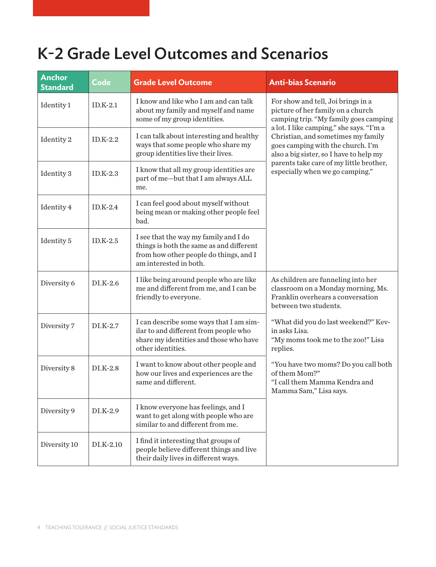## K-2 Grade Level Outcomes and Scenarios

| <b>Anchor</b><br><b>Standard</b> | Code       | <b>Grade Level Outcome</b>                                                                                                                            | <b>Anti-bias Scenario</b>                                                                                                                                      |
|----------------------------------|------------|-------------------------------------------------------------------------------------------------------------------------------------------------------|----------------------------------------------------------------------------------------------------------------------------------------------------------------|
| Identity 1                       | $ID.K-2.1$ | I know and like who I am and can talk<br>about my family and myself and name<br>some of my group identities.                                          | For show and tell, Joi brings in a<br>picture of her family on a church<br>camping trip. "My family goes camping                                               |
| Identity 2                       | $ID.K-2.2$ | I can talk about interesting and healthy<br>ways that some people who share my<br>group identities live their lives.                                  | a lot. I like camping," she says. "I'm a<br>Christian, and sometimes my family<br>goes camping with the church. I'm<br>also a big sister, so I have to help my |
| Identity 3                       | $ID.K-2.3$ | I know that all my group identities are<br>part of me-but that I am always ALL<br>me.                                                                 | parents take care of my little brother,<br>especially when we go camping."                                                                                     |
| Identity 4                       | $ID.K-2.4$ | I can feel good about myself without<br>being mean or making other people feel<br>bad.                                                                |                                                                                                                                                                |
| Identity 5                       | $ID.K-2.5$ | I see that the way my family and I do<br>things is both the same as and different<br>from how other people do things, and I<br>am interested in both. |                                                                                                                                                                |
| Diversity 6                      | DI.K-2.6   | I like being around people who are like<br>me and different from me, and I can be<br>friendly to everyone.                                            | As children are funneling into her<br>classroom on a Monday morning, Ms.<br>Franklin overhears a conversation<br>between two students.                         |
| Diversity 7                      | $DI.K-2.7$ | I can describe some ways that I am sim-<br>ilar to and different from people who<br>share my identities and those who have<br>other identities.       | "What did you do last weekend?" Kev-<br>in asks Lisa.<br>"My moms took me to the zoo!" Lisa<br>replies.                                                        |
| Diversity 8                      | $DI.K-2.8$ | I want to know about other people and<br>how our lives and experiences are the<br>same and different.                                                 | "You have two moms? Do you call both<br>of them Mom?"<br>"I call them Mamma Kendra and<br>Mamma Sam," Lisa says.                                               |
| Diversity 9                      | $DI.K-2.9$ | I know everyone has feelings, and I<br>want to get along with people who are<br>similar to and different from me.                                     |                                                                                                                                                                |
| Diversity 10                     | DI.K-2.10  | I find it interesting that groups of<br>people believe different things and live<br>their daily lives in different ways.                              |                                                                                                                                                                |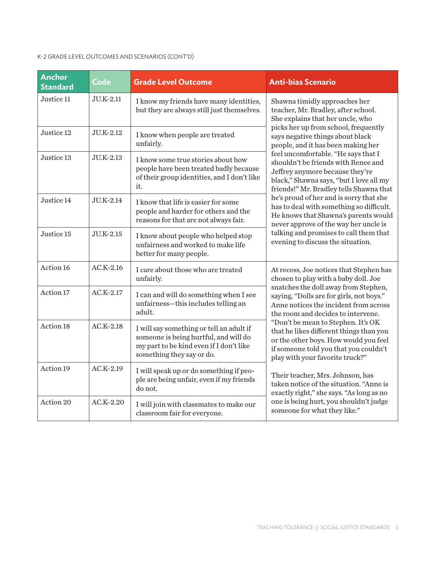### K-2 GRADE LEVEL OUTCOMES AND SCENARIOS (CONT'D)

| <b>Anchor</b><br><b>Standard</b> | <b>Code</b> | <b>Grade Level Outcome</b>                                                                                                                                | <b>Anti-bias Scenario</b>                                                                                                                                                                                                                                                                                                                                                                                                                                                                                                                                                                                                                                     |
|----------------------------------|-------------|-----------------------------------------------------------------------------------------------------------------------------------------------------------|---------------------------------------------------------------------------------------------------------------------------------------------------------------------------------------------------------------------------------------------------------------------------------------------------------------------------------------------------------------------------------------------------------------------------------------------------------------------------------------------------------------------------------------------------------------------------------------------------------------------------------------------------------------|
| Justice 11                       | JU.K-2.11   | I know my friends have many identities,<br>but they are always still just themselves.                                                                     | Shawna timidly approaches her<br>teacher, Mr. Bradley, after school.<br>She explains that her uncle, who                                                                                                                                                                                                                                                                                                                                                                                                                                                                                                                                                      |
| Justice 12                       | JU.K-2.12   | I know when people are treated<br>unfairly.                                                                                                               | picks her up from school, frequently<br>says negative things about black<br>people, and it has been making her                                                                                                                                                                                                                                                                                                                                                                                                                                                                                                                                                |
| Justice 13                       | JU.K-2.13   | I know some true stories about how<br>people have been treated badly because<br>of their group identities, and I don't like<br>it.                        | feel uncomfortable. "He says that I<br>shouldn't be friends with Renee and<br>Jeffrey anymore because they're<br>black," Shawna says, "but I love all my<br>friends!" Mr. Bradley tells Shawna that<br>he's proud of her and is sorry that she<br>has to deal with something so difficult.<br>He knows that Shawna's parents would<br>never approve of the way her uncle is<br>talking and promises to call them that<br>evening to discuss the situation.                                                                                                                                                                                                    |
| Justice 14                       | JU.K-2.14   | I know that life is easier for some<br>people and harder for others and the<br>reasons for that are not always fair.                                      |                                                                                                                                                                                                                                                                                                                                                                                                                                                                                                                                                                                                                                                               |
| Justice 15                       | JU.K-2.15   | I know about people who helped stop<br>unfairness and worked to make life<br>better for many people.                                                      |                                                                                                                                                                                                                                                                                                                                                                                                                                                                                                                                                                                                                                                               |
| Action 16                        | $AC.K-2.16$ | I care about those who are treated<br>unfairly.                                                                                                           | At recess, Joe notices that Stephen has<br>chosen to play with a baby doll. Joe<br>snatches the doll away from Stephen,<br>saying, "Dolls are for girls, not boys."<br>Anne notices the incident from across<br>the room and decides to intervene.<br>"Don't be mean to Stephen. It's OK<br>that he likes different things than you<br>or the other boys. How would you feel<br>if someone told you that you couldn't<br>play with your favorite truck?"<br>Their teacher, Mrs. Johnson, has<br>taken notice of the situation. "Anne is<br>exactly right," she says. "As long as no<br>one is being hurt, you shouldn't judge<br>someone for what they like." |
| Action 17                        | $AC.K-2.17$ | I can and will do something when I see<br>unfairness-this includes telling an<br>adult.                                                                   |                                                                                                                                                                                                                                                                                                                                                                                                                                                                                                                                                                                                                                                               |
| Action 18                        | $AC.K-2.18$ | I will say something or tell an adult if<br>someone is being hurtful, and will do<br>my part to be kind even if I don't like<br>something they say or do. |                                                                                                                                                                                                                                                                                                                                                                                                                                                                                                                                                                                                                                                               |
| Action 19                        | $AC.K-2.19$ | I will speak up or do something if peo-<br>ple are being unfair, even if my friends<br>do not.                                                            |                                                                                                                                                                                                                                                                                                                                                                                                                                                                                                                                                                                                                                                               |
| Action 20                        | $AC.K-2.20$ | I will join with classmates to make our<br>classroom fair for everyone.                                                                                   |                                                                                                                                                                                                                                                                                                                                                                                                                                                                                                                                                                                                                                                               |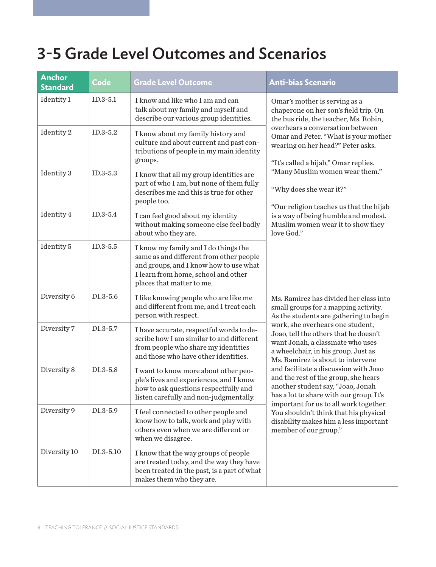## 3-5 Grade Level Outcomes and Scenarios

| <b>Anchor</b><br><b>Standard</b> | Code       | <b>Grade Level Outcome</b>                                                                                                                                                                    | <b>Anti-bias Scenario</b>                                                                                                                                                                                                                                                                                                                                                                                                                                                                                                                                                                                                                   |
|----------------------------------|------------|-----------------------------------------------------------------------------------------------------------------------------------------------------------------------------------------------|---------------------------------------------------------------------------------------------------------------------------------------------------------------------------------------------------------------------------------------------------------------------------------------------------------------------------------------------------------------------------------------------------------------------------------------------------------------------------------------------------------------------------------------------------------------------------------------------------------------------------------------------|
| Identity 1                       | $ID.3-5.1$ | I know and like who I am and can<br>talk about my family and myself and<br>describe our various group identities.                                                                             | Omar's mother is serving as a<br>chaperone on her son's field trip. On<br>the bus ride, the teacher, Ms. Robin,<br>overhears a conversation between<br>Omar and Peter. "What is your mother<br>wearing on her head?" Peter asks.<br>"It's called a hijab," Omar replies.                                                                                                                                                                                                                                                                                                                                                                    |
| Identity 2                       | $ID.3-5.2$ | I know about my family history and<br>culture and about current and past con-<br>tributions of people in my main identity<br>groups.                                                          |                                                                                                                                                                                                                                                                                                                                                                                                                                                                                                                                                                                                                                             |
| Identity 3                       | $ID.3-5.3$ | I know that all my group identities are<br>part of who I am, but none of them fully<br>describes me and this is true for other<br>people too.                                                 | "Many Muslim women wear them."<br>"Why does she wear it?"                                                                                                                                                                                                                                                                                                                                                                                                                                                                                                                                                                                   |
| Identity 4                       | $ID.3-5.4$ | I can feel good about my identity<br>without making someone else feel badly<br>about who they are.                                                                                            | "Our religion teaches us that the hijab<br>is a way of being humble and modest.<br>Muslim women wear it to show they<br>love God."                                                                                                                                                                                                                                                                                                                                                                                                                                                                                                          |
| Identity 5                       | $ID.3-5.5$ | I know my family and I do things the<br>same as and different from other people<br>and groups, and I know how to use what<br>I learn from home, school and other<br>places that matter to me. |                                                                                                                                                                                                                                                                                                                                                                                                                                                                                                                                                                                                                                             |
| Diversity 6                      | DI.3-5.6   | I like knowing people who are like me<br>and different from me, and I treat each<br>person with respect.                                                                                      | Ms. Ramirez has divided her class into<br>small groups for a mapping activity.<br>As the students are gathering to begin<br>work, she overhears one student,<br>Joao, tell the others that he doesn't<br>want Jonah, a classmate who uses<br>a wheelchair, in his group. Just as<br>Ms. Ramirez is about to intervene<br>and facilitate a discussion with Joao<br>and the rest of the group, she hears<br>another student say, "Joao, Jonah<br>has a lot to share with our group. It's<br>important for us to all work together.<br>You shouldn't think that his physical<br>disability makes him a less important<br>member of our group." |
| Diversity 7                      | DI.3-5.7   | I have accurate, respectful words to de-<br>scribe how I am similar to and different<br>from people who share my identities<br>and those who have other identities.                           |                                                                                                                                                                                                                                                                                                                                                                                                                                                                                                                                                                                                                                             |
| Diversity 8                      | DI.3-5.8   | I want to know more about other peo-<br>ple's lives and experiences, and I know<br>how to ask questions respectfully and<br>listen carefully and non-judgmentally.                            |                                                                                                                                                                                                                                                                                                                                                                                                                                                                                                                                                                                                                                             |
| Diversity 9                      | DI.3-5.9   | I feel connected to other people and<br>know how to talk, work and play with<br>others even when we are different or<br>when we disagree.                                                     |                                                                                                                                                                                                                                                                                                                                                                                                                                                                                                                                                                                                                                             |
| Diversity 10                     | DI.3-5.10  | I know that the way groups of people<br>are treated today, and the way they have<br>been treated in the past, is a part of what<br>makes them who they are.                                   |                                                                                                                                                                                                                                                                                                                                                                                                                                                                                                                                                                                                                                             |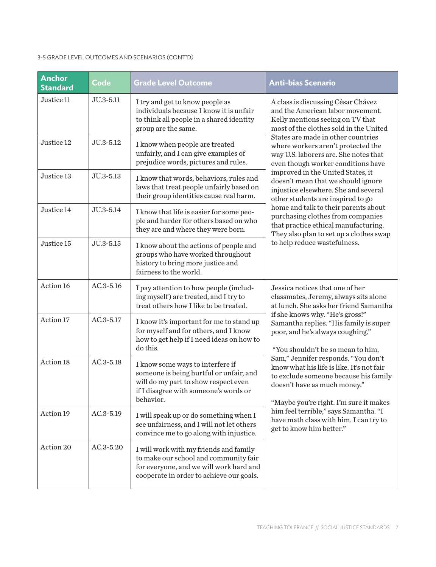#### 3-5 GRADE LEVEL OUTCOMES AND SCENARIOS (CONT'D)

| <b>Anchor</b><br><b>Standard</b> | Code          | <b>Grade Level Outcome</b>                                                                                                                                                | <b>Anti-bias Scenario</b>                                                                                                                                                                                                                                                                                                                                                                                                                                                                                                                                                                      |
|----------------------------------|---------------|---------------------------------------------------------------------------------------------------------------------------------------------------------------------------|------------------------------------------------------------------------------------------------------------------------------------------------------------------------------------------------------------------------------------------------------------------------------------------------------------------------------------------------------------------------------------------------------------------------------------------------------------------------------------------------------------------------------------------------------------------------------------------------|
| Justice 11                       | JU.3-5.11     | I try and get to know people as<br>individuals because I know it is unfair<br>to think all people in a shared identity<br>group are the same.                             | A class is discussing César Chávez<br>and the American labor movement.<br>Kelly mentions seeing on TV that<br>most of the clothes sold in the United                                                                                                                                                                                                                                                                                                                                                                                                                                           |
| Justice 12                       | JU.3-5.12     | I know when people are treated<br>unfairly, and I can give examples of<br>prejudice words, pictures and rules.                                                            | States are made in other countries<br>where workers aren't protected the<br>way U.S. laborers are. She notes that<br>even though worker conditions have                                                                                                                                                                                                                                                                                                                                                                                                                                        |
| Justice 13                       | JU.3-5.13     | I know that words, behaviors, rules and<br>laws that treat people unfairly based on<br>their group identities cause real harm.                                            | improved in the United States, it<br>doesn't mean that we should ignore<br>injustice elsewhere. She and several<br>other students are inspired to go                                                                                                                                                                                                                                                                                                                                                                                                                                           |
| Justice 14                       | JU.3-5.14     | I know that life is easier for some peo-<br>ple and harder for others based on who<br>they are and where they were born.                                                  | home and talk to their parents about<br>purchasing clothes from companies<br>that practice ethical manufacturing.<br>They also plan to set up a clothes swap<br>to help reduce wastefulness.                                                                                                                                                                                                                                                                                                                                                                                                   |
| Justice 15                       | JU.3-5.15     | I know about the actions of people and<br>groups who have worked throughout<br>history to bring more justice and<br>fairness to the world.                                |                                                                                                                                                                                                                                                                                                                                                                                                                                                                                                                                                                                                |
| Action 16                        | $AC.3 - 5.16$ | I pay attention to how people (includ-<br>ing myself) are treated, and I try to<br>treat others how I like to be treated.                                                 | Jessica notices that one of her<br>classmates, Jeremy, always sits alone<br>at lunch. She asks her friend Samantha<br>if she knows why. "He's gross!"<br>Samantha replies. "His family is super<br>poor, and he's always coughing."<br>"You shouldn't be so mean to him,<br>Sam," Jennifer responds. "You don't<br>know what his life is like. It's not fair<br>to exclude someone because his family<br>doesn't have as much money."<br>"Maybe you're right. I'm sure it makes<br>him feel terrible," says Samantha. "I<br>have math class with him. I can try to<br>get to know him better." |
| Action 17                        | AC.3-5.17     | I know it's important for me to stand up<br>for myself and for others, and I know<br>how to get help if I need ideas on how to<br>do this.                                |                                                                                                                                                                                                                                                                                                                                                                                                                                                                                                                                                                                                |
| Action 18                        | $AC.3 - 5.18$ | I know some ways to interfere if<br>someone is being hurtful or unfair, and<br>will do my part to show respect even<br>if I disagree with someone's words or<br>behavior. |                                                                                                                                                                                                                                                                                                                                                                                                                                                                                                                                                                                                |
| Action 19                        | AC.3-5.19     | I will speak up or do something when I<br>see unfairness, and I will not let others<br>convince me to go along with injustice.                                            |                                                                                                                                                                                                                                                                                                                                                                                                                                                                                                                                                                                                |
| Action 20                        | AC.3-5.20     | I will work with my friends and family<br>to make our school and community fair<br>for everyone, and we will work hard and<br>cooperate in order to achieve our goals.    |                                                                                                                                                                                                                                                                                                                                                                                                                                                                                                                                                                                                |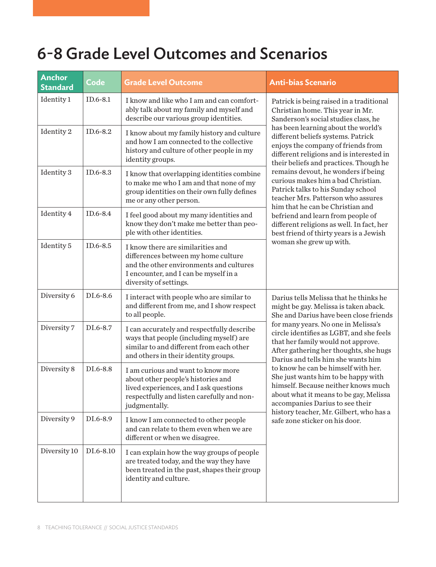## 6-8 Grade Level Outcomes and Scenarios

| <b>Anchor</b><br><b>Standard</b> | <b>Code</b> | <b>Grade Level Outcome</b>                                                                                                                                                             | <b>Anti-bias Scenario</b>                                                                                                                                                                                                                                                                                                                                                                                                                                                                                                                                                                                         |
|----------------------------------|-------------|----------------------------------------------------------------------------------------------------------------------------------------------------------------------------------------|-------------------------------------------------------------------------------------------------------------------------------------------------------------------------------------------------------------------------------------------------------------------------------------------------------------------------------------------------------------------------------------------------------------------------------------------------------------------------------------------------------------------------------------------------------------------------------------------------------------------|
| Identity 1                       | $ID.6-8.1$  | I know and like who I am and can comfort-<br>ably talk about my family and myself and<br>describe our various group identities.                                                        | Patrick is being raised in a traditional<br>Christian home. This year in Mr.<br>Sanderson's social studies class, he                                                                                                                                                                                                                                                                                                                                                                                                                                                                                              |
| Identity 2                       | ID.6-8.2    | I know about my family history and culture<br>and how I am connected to the collective<br>history and culture of other people in my<br>identity groups.                                | has been learning about the world's<br>different beliefs systems. Patrick<br>enjoys the company of friends from<br>different religions and is interested in<br>their beliefs and practices. Though he                                                                                                                                                                                                                                                                                                                                                                                                             |
| Identity 3                       | ID.6-8.3    | I know that overlapping identities combine<br>to make me who I am and that none of my<br>group identities on their own fully defines<br>me or any other person.                        | remains devout, he wonders if being<br>curious makes him a bad Christian.<br>Patrick talks to his Sunday school<br>teacher Mrs. Patterson who assures<br>him that he can be Christian and<br>befriend and learn from people of<br>different religions as well. In fact, her<br>best friend of thirty years is a Jewish<br>woman she grew up with.                                                                                                                                                                                                                                                                 |
| Identity 4                       | $ID.6-8.4$  | I feel good about my many identities and<br>know they don't make me better than peo-<br>ple with other identities.                                                                     |                                                                                                                                                                                                                                                                                                                                                                                                                                                                                                                                                                                                                   |
| Identity <sub>5</sub>            | ID.6-8.5    | I know there are similarities and<br>differences between my home culture<br>and the other environments and cultures<br>I encounter, and I can be myself in a<br>diversity of settings. |                                                                                                                                                                                                                                                                                                                                                                                                                                                                                                                                                                                                                   |
| Diversity 6                      | DI.6-8.6    | I interact with people who are similar to<br>and different from me, and I show respect<br>to all people.                                                                               | Darius tells Melissa that he thinks he<br>might be gay. Melissa is taken aback.<br>She and Darius have been close friends<br>for many years. No one in Melissa's<br>circle identifies as LGBT, and she feels<br>that her family would not approve.<br>After gathering her thoughts, she hugs<br>Darius and tells him she wants him<br>to know he can be himself with her.<br>She just wants him to be happy with<br>himself. Because neither knows much<br>about what it means to be gay, Melissa<br>accompanies Darius to see their<br>history teacher, Mr. Gilbert, who has a<br>safe zone sticker on his door. |
| Diversity 7                      | DI.6-8.7    | I can accurately and respectfully describe<br>ways that people (including myself) are<br>similar to and different from each other<br>and others in their identity groups.              |                                                                                                                                                                                                                                                                                                                                                                                                                                                                                                                                                                                                                   |
| Diversity 8                      | DI.6-8.8    | I am curious and want to know more<br>about other people's histories and<br>lived experiences, and I ask questions<br>respectfully and listen carefully and non-<br>judgmentally.      |                                                                                                                                                                                                                                                                                                                                                                                                                                                                                                                                                                                                                   |
| Diversity 9                      | DI.6-8.9    | I know I am connected to other people<br>and can relate to them even when we are<br>different or when we disagree.                                                                     |                                                                                                                                                                                                                                                                                                                                                                                                                                                                                                                                                                                                                   |
| Diversity 10                     | DI.6-8.10   | I can explain how the way groups of people<br>are treated today, and the way they have<br>been treated in the past, shapes their group<br>identity and culture.                        |                                                                                                                                                                                                                                                                                                                                                                                                                                                                                                                                                                                                                   |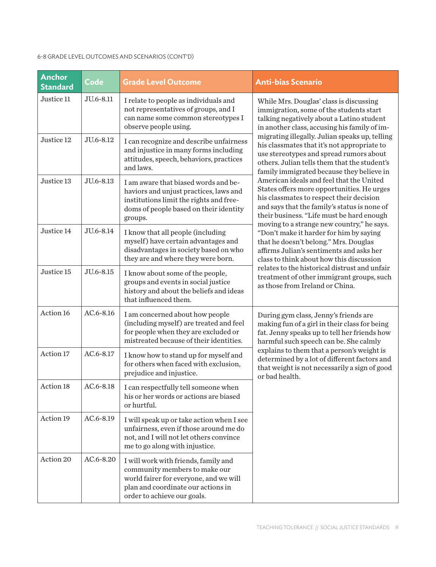#### 6-8 GRADE LEVEL OUTCOMES AND SCENARIOS (CONT'D)

| <b>Anchor</b><br><b>Standard</b> | Code          | <b>Grade Level Outcome</b>                                                                                                                                                           | <b>Anti-bias Scenario</b>                                                                                                                                                                                                                                                                                                                                                                                                                                 |
|----------------------------------|---------------|--------------------------------------------------------------------------------------------------------------------------------------------------------------------------------------|-----------------------------------------------------------------------------------------------------------------------------------------------------------------------------------------------------------------------------------------------------------------------------------------------------------------------------------------------------------------------------------------------------------------------------------------------------------|
| Justice 11                       | JU.6-8.11     | I relate to people as individuals and<br>not representatives of groups, and I<br>can name some common stereotypes I<br>observe people using.                                         | While Mrs. Douglas' class is discussing<br>immigration, some of the students start<br>talking negatively about a Latino student<br>in another class, accusing his family of im-                                                                                                                                                                                                                                                                           |
| Justice 12                       | JU.6-8.12     | I can recognize and describe unfairness<br>and injustice in many forms including<br>attitudes, speech, behaviors, practices<br>and laws.                                             | migrating illegally. Julian speaks up, telling<br>his classmates that it's not appropriate to<br>use stereotypes and spread rumors about<br>others. Julian tells them that the student's<br>family immigrated because they believe in                                                                                                                                                                                                                     |
| Justice 13                       | JU.6-8.13     | I am aware that biased words and be-<br>haviors and unjust practices, laws and<br>institutions limit the rights and free-<br>doms of people based on their identity<br>groups.       | American ideals and feel that the United<br>States offers more opportunities. He urges<br>his classmates to respect their decision<br>and says that the family's status is none of<br>their business. "Life must be hard enough<br>moving to a strange new country," he says.<br>"Don't make it harder for him by saying<br>that he doesn't belong." Mrs. Douglas<br>affirms Julian's sentiments and asks her<br>class to think about how this discussion |
| Justice 14                       | JU.6-8.14     | I know that all people (including<br>myself) have certain advantages and<br>disadvantages in society based on who<br>they are and where they were born.                              |                                                                                                                                                                                                                                                                                                                                                                                                                                                           |
| Justice 15                       | JU.6-8.15     | I know about some of the people,<br>groups and events in social justice<br>history and about the beliefs and ideas<br>that influenced them.                                          | relates to the historical distrust and unfair<br>treatment of other immigrant groups, such<br>as those from Ireland or China.                                                                                                                                                                                                                                                                                                                             |
| Action 16                        | $AC.6 - 8.16$ | I am concerned about how people<br>(including myself) are treated and feel<br>for people when they are excluded or<br>mistreated because of their identities.                        | During gym class, Jenny's friends are<br>making fun of a girl in their class for being<br>fat. Jenny speaks up to tell her friends how<br>harmful such speech can be. She calmly                                                                                                                                                                                                                                                                          |
| Action 17                        | AC.6-8.17     | I know how to stand up for myself and<br>for others when faced with exclusion,<br>prejudice and injustice.                                                                           | explains to them that a person's weight is<br>determined by a lot of different factors and<br>that weight is not necessarily a sign of good<br>or bad health.                                                                                                                                                                                                                                                                                             |
| Action 18                        | AC.6-8.18     | I can respectfully tell someone when<br>his or her words or actions are biased<br>or hurtful.                                                                                        |                                                                                                                                                                                                                                                                                                                                                                                                                                                           |
| Action 19                        | $AC.6 - 8.19$ | I will speak up or take action when I see<br>unfairness, even if those around me do<br>not, and I will not let others convince<br>me to go along with injustice.                     |                                                                                                                                                                                                                                                                                                                                                                                                                                                           |
| Action 20                        | $AC.6 - 8.20$ | I will work with friends, family and<br>community members to make our<br>world fairer for everyone, and we will<br>plan and coordinate our actions in<br>order to achieve our goals. |                                                                                                                                                                                                                                                                                                                                                                                                                                                           |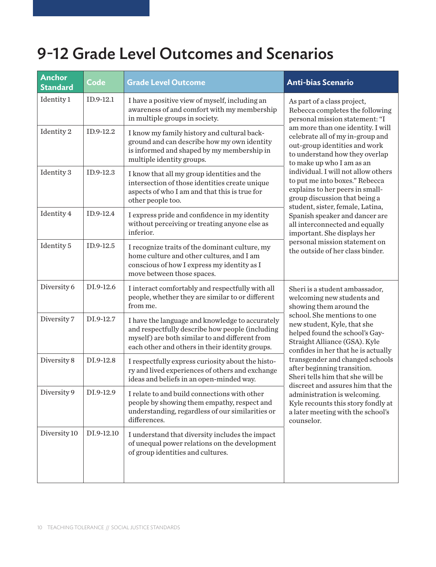## 9-12 Grade Level Outcomes and Scenarios

| Anchor<br><b>Standard</b> | Code       | <b>Grade Level Outcome</b>                                                                                                                                                                              | <b>Anti-bias Scenario</b>                                                                                                                                                                                                                                                                                                                                                                                                                |
|---------------------------|------------|---------------------------------------------------------------------------------------------------------------------------------------------------------------------------------------------------------|------------------------------------------------------------------------------------------------------------------------------------------------------------------------------------------------------------------------------------------------------------------------------------------------------------------------------------------------------------------------------------------------------------------------------------------|
| Identity 1                | ID.9-12.1  | I have a positive view of myself, including an<br>awareness of and comfort with my membership<br>in multiple groups in society.                                                                         | As part of a class project,<br>Rebecca completes the following<br>personal mission statement: "I                                                                                                                                                                                                                                                                                                                                         |
| Identity 2                | ID.9-12.2  | I know my family history and cultural back-<br>ground and can describe how my own identity<br>is informed and shaped by my membership in<br>multiple identity groups.                                   | am more than one identity. I will<br>celebrate all of my in-group and<br>out-group identities and work<br>to understand how they overlap<br>to make up who I am as an                                                                                                                                                                                                                                                                    |
| Identity 3                | ID.9-12.3  | I know that all my group identities and the<br>intersection of those identities create unique<br>aspects of who I am and that this is true for<br>other people too.                                     | individual. I will not allow others<br>to put me into boxes." Rebecca<br>explains to her peers in small-<br>group discussion that being a                                                                                                                                                                                                                                                                                                |
| Identity 4                | ID.9-12.4  | I express pride and confidence in my identity<br>without perceiving or treating anyone else as<br>inferior.                                                                                             | student, sister, female, Latina,<br>Spanish speaker and dancer are<br>all interconnected and equally<br>important. She displays her<br>personal mission statement on<br>the outside of her class binder.                                                                                                                                                                                                                                 |
| Identity 5                | ID.9-12.5  | I recognize traits of the dominant culture, my<br>home culture and other cultures, and I am<br>conscious of how I express my identity as I<br>move between those spaces.                                |                                                                                                                                                                                                                                                                                                                                                                                                                                          |
| Diversity 6               | DI.9-12.6  | I interact comfortably and respectfully with all<br>people, whether they are similar to or different<br>from me.                                                                                        | Sheri is a student ambassador,<br>welcoming new students and<br>showing them around the                                                                                                                                                                                                                                                                                                                                                  |
| Diversity 7               | DI.9-12.7  | I have the language and knowledge to accurately<br>and respectfully describe how people (including<br>myself) are both similar to and different from<br>each other and others in their identity groups. | school. She mentions to one<br>new student, Kyle, that she<br>helped found the school's Gay-<br>Straight Alliance (GSA). Kyle<br>confides in her that he is actually<br>transgender and changed schools<br>after beginning transition.<br>Sheri tells him that she will be<br>discreet and assures him that the<br>administration is welcoming.<br>Kyle recounts this story fondly at<br>a later meeting with the school's<br>counselor. |
| Diversity 8               | DI.9-12.8  | I respectfully express curiosity about the histo-<br>ry and lived experiences of others and exchange<br>ideas and beliefs in an open-minded way.                                                        |                                                                                                                                                                                                                                                                                                                                                                                                                                          |
| Diversity 9               | DI.9-12.9  | I relate to and build connections with other<br>people by showing them empathy, respect and<br>understanding, regardless of our similarities or<br>differences.                                         |                                                                                                                                                                                                                                                                                                                                                                                                                                          |
| Diversity 10              | DI.9-12.10 | I understand that diversity includes the impact<br>of unequal power relations on the development<br>of group identities and cultures.                                                                   |                                                                                                                                                                                                                                                                                                                                                                                                                                          |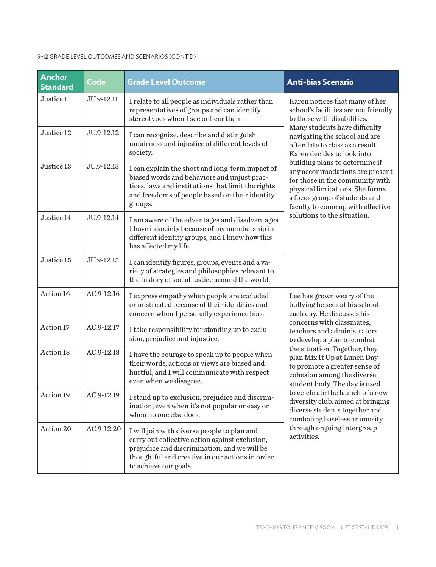#### 9-12 GRADE LEVEL OUTCOMES AND SCENARIOS (CONT'D)

| <b>Anchor</b><br><b>Standard</b> | <b>Code</b> | <b>Grade Level Outcome</b>                                                                                                                                                                                                | <b>Anti-bias Scenario</b>                                                                                                                                                                                                                                                                                                                                                                                                                                                                                                                                                                                                                                                                                                                                                                                                                                                                                                       |
|----------------------------------|-------------|---------------------------------------------------------------------------------------------------------------------------------------------------------------------------------------------------------------------------|---------------------------------------------------------------------------------------------------------------------------------------------------------------------------------------------------------------------------------------------------------------------------------------------------------------------------------------------------------------------------------------------------------------------------------------------------------------------------------------------------------------------------------------------------------------------------------------------------------------------------------------------------------------------------------------------------------------------------------------------------------------------------------------------------------------------------------------------------------------------------------------------------------------------------------|
| Justice 11                       | JU.9-12.11  | I relate to all people as individuals rather than<br>representatives of groups and can identify<br>stereotypes when I see or hear them.                                                                                   | Karen notices that many of her<br>school's facilities are not friendly<br>to those with disabilities.                                                                                                                                                                                                                                                                                                                                                                                                                                                                                                                                                                                                                                                                                                                                                                                                                           |
| Justice 12                       | JU.9-12.12  | I can recognize, describe and distinguish<br>unfairness and injustice at different levels of<br>society.                                                                                                                  | Many students have difficulty<br>navigating the school and are<br>often late to class as a result.<br>Karen decides to look into<br>building plans to determine if<br>any accommodations are present<br>for those in the community with<br>physical limitations. She forms<br>a focus group of students and<br>faculty to come up with effective<br>solutions to the situation.<br>Lee has grown weary of the<br>bullying he sees at his school<br>each day. He discusses his<br>concerns with classmates,<br>teachers and administrators<br>to develop a plan to combat<br>the situation. Together, they<br>plan Mix It Up at Lunch Day<br>to promote a greater sense of<br>cohesion among the diverse<br>student body. The day is used<br>to celebrate the launch of a new<br>diversity club, aimed at bringing<br>diverse students together and<br>combating baseless animosity<br>through ongoing intergroup<br>activities. |
| Justice 13                       | JU.9-12.13  | I can explain the short and long-term impact of<br>biased words and behaviors and unjust prac-<br>tices, laws and institutions that limit the rights<br>and freedoms of people based on their identity<br>groups.         |                                                                                                                                                                                                                                                                                                                                                                                                                                                                                                                                                                                                                                                                                                                                                                                                                                                                                                                                 |
| Justice 14                       | JU.9-12.14  | I am aware of the advantages and disadvantages<br>I have in society because of my membership in<br>different identity groups, and I know how this<br>has affected my life.                                                |                                                                                                                                                                                                                                                                                                                                                                                                                                                                                                                                                                                                                                                                                                                                                                                                                                                                                                                                 |
| Justice 15                       | JU.9-12.15  | I can identify figures, groups, events and a va-<br>riety of strategies and philosophies relevant to<br>the history of social justice around the world.                                                                   |                                                                                                                                                                                                                                                                                                                                                                                                                                                                                                                                                                                                                                                                                                                                                                                                                                                                                                                                 |
| Action 16                        | AC.9-12.16  | I express empathy when people are excluded<br>or mistreated because of their identities and<br>concern when I personally experience bias.                                                                                 |                                                                                                                                                                                                                                                                                                                                                                                                                                                                                                                                                                                                                                                                                                                                                                                                                                                                                                                                 |
| Action 17                        | AC.9-12.17  | I take responsibility for standing up to exclu-<br>sion, prejudice and injustice.                                                                                                                                         |                                                                                                                                                                                                                                                                                                                                                                                                                                                                                                                                                                                                                                                                                                                                                                                                                                                                                                                                 |
| Action 18                        | AC.9-12.18  | I have the courage to speak up to people when<br>their words, actions or views are biased and<br>hurtful, and I will communicate with respect<br>even when we disagree.                                                   |                                                                                                                                                                                                                                                                                                                                                                                                                                                                                                                                                                                                                                                                                                                                                                                                                                                                                                                                 |
| Action 19                        | AC.9-12.19  | I stand up to exclusion, prejudice and discrim-<br>ination, even when it's not popular or easy or<br>when no one else does.                                                                                               |                                                                                                                                                                                                                                                                                                                                                                                                                                                                                                                                                                                                                                                                                                                                                                                                                                                                                                                                 |
| Action 20                        | AC.9-12.20  | I will join with diverse people to plan and<br>carry out collective action against exclusion,<br>prejudice and discrimination, and we will be<br>thoughtful and creative in our actions in order<br>to achieve our goals. |                                                                                                                                                                                                                                                                                                                                                                                                                                                                                                                                                                                                                                                                                                                                                                                                                                                                                                                                 |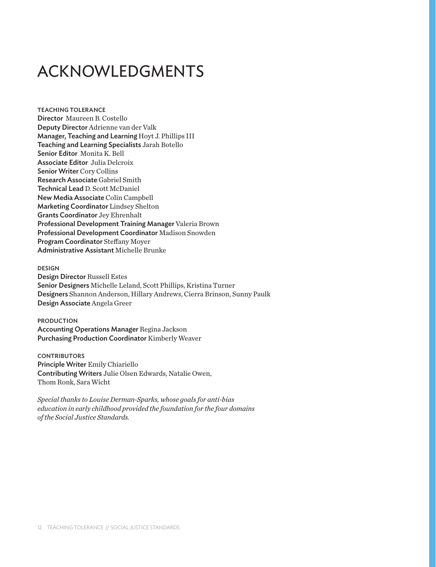# ACKNOWLEDGMENTS

TEACHING TOLERANCE Director Maureen B. Costello Deputy Director Adrienne van der Valk Manager, Teaching and Learning Hoyt J. Phillips III Teaching and Learning Specialists Jarah Botello Senior Editor Monita K. Bell Associate Editor Julia Delcroix Senior Writer Cory Collins Research Associate Gabriel Smith Technical Lead D. Scott McDaniel New Media Associate Colin Campbell Marketing Coordinator Lindsey Shelton Grants Coordinator Jey Ehrenhalt Professional Development Training Manager Valeria Brown Professional Development Coordinator Madison Snowden Program Coordinator Steffany Moyer Administrative Assistant Michelle Brunke

#### DESIGN

Design Director Russell Estes Senior Designers Michelle Leland, Scott Phillips, Kristina Turner Designers Shannon Anderson, Hillary Andrews, Cierra Brinson, Sunny Paulk Design Associate Angela Greer

### PRODUCTION

Accounting Operations Manager Regina Jackson Purchasing Production Coordinator Kimberly Weaver

### **CONTRIBUTORS**

Principle Writer Emily Chiariello Contributing Writers Julie Olsen Edwards, Natalie Owen, Thom Ronk, Sara Wicht

*Special thanks to Louise Derman-Sparks, whose goals for anti-bias education in early childhood provided the foundation for the four domains of the Social Justice Standards.*